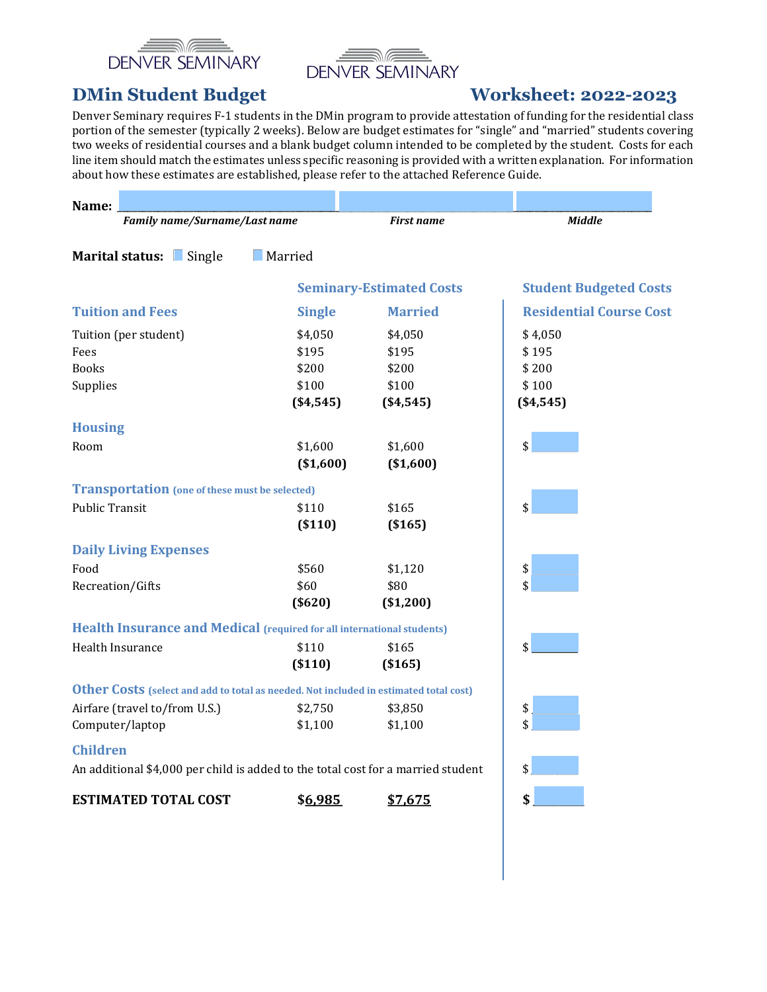



# DMin Student Budget Worksheet: 2022-2023

Denver Seminary requires F-1 students in the DMin program to provide attestation of funding for the residential class portion of the semester (typically 2 weeks). Below are budget estimates for "single" and "married" students covering two weeks of residential courses and a blank budget column intended to be completed by the student. Costs for each line item should match the estimates unless specific reasoning is provided with a written explanation. For information about how these estimates are established, please refer to the attached Reference Guide.

| Name:                                                                                 |                |                                 |                                |
|---------------------------------------------------------------------------------------|----------------|---------------------------------|--------------------------------|
| Family name/Surname/Last name                                                         |                | <b>First name</b>               | <b>Middle</b>                  |
| Marital status: Single                                                                | <b>Married</b> |                                 |                                |
|                                                                                       |                | <b>Seminary-Estimated Costs</b> | <b>Student Budgeted Costs</b>  |
| <b>Tuition and Fees</b>                                                               | <b>Single</b>  | <b>Married</b>                  | <b>Residential Course Cost</b> |
| Tuition (per student)                                                                 | \$4,050        | \$4,050                         | \$4,050                        |
| Fees                                                                                  | \$195          | \$195                           | \$195                          |
| <b>Books</b>                                                                          | \$200          | \$200                           | \$200                          |
| Supplies                                                                              | \$100          | \$100                           | \$100                          |
|                                                                                       | ( \$4,545)     | ( \$4,545)                      | ( \$4,545)                     |
| <b>Housing</b>                                                                        |                |                                 |                                |
| Room                                                                                  | \$1,600        | \$1,600                         | \$                             |
|                                                                                       | (\$1,600)      | (\$1,600)                       |                                |
| <b>Transportation</b> (one of these must be selected)                                 |                |                                 |                                |
| <b>Public Transit</b>                                                                 | \$110          | \$165                           | \$                             |
|                                                                                       | ( \$110)       | ( \$165)                        |                                |
| <b>Daily Living Expenses</b>                                                          |                |                                 |                                |
| Food                                                                                  | \$560          | \$1,120                         | \$                             |
| Recreation/Gifts                                                                      | \$60           | \$80                            | \$                             |
|                                                                                       | ( \$620]       | $(*1,200)$                      |                                |
| Health Insurance and Medical (required for all international students)                |                |                                 |                                |
| Health Insurance                                                                      | \$110          | \$165                           | \$                             |
|                                                                                       | ( \$110)       | ( \$165)                        |                                |
| Other Costs (select and add to total as needed. Not included in estimated total cost) |                |                                 |                                |
| Airfare (travel to/from U.S.)                                                         | \$2,750        | \$3,850                         | \$                             |
| Computer/laptop                                                                       | \$1,100        | \$1,100                         | \$                             |
| <b>Children</b>                                                                       |                |                                 |                                |
| An additional \$4,000 per child is added to the total cost for a married student      |                |                                 | \$                             |
| <b>ESTIMATED TOTAL COST</b>                                                           | \$6,985        | \$7,675                         | \$                             |
|                                                                                       |                |                                 |                                |